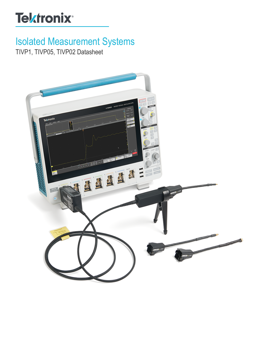# **Tektronix®**

# Isolated Measurement Systems

TIVP1, TIVP05, TIVP02 Datasheet

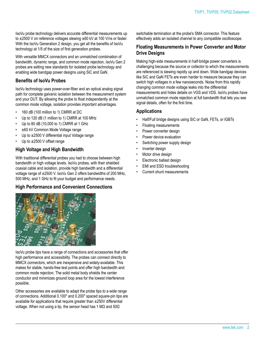IsoVu probe technology delivers accurate differential measurements up to ±2500 V on reference voltages slewing ±60 kV at 100 V/ns or faster. With the IsoVu Generation 2 design, you get all the benefits of IsoVu technology at 1/5 of the size of first generation probes.

With versatile MMCX connectors and an unmatched combination of bandwidth, dynamic range, and common mode rejection, IsoVu Gen 2 probes are setting new standards for isolated probe technology and enabling wide bandgap power designs using SiC and GaN.

#### **Benefits of IsoVu Probes**

IsoVu technology uses power-over-fiber and an optical analog signal path for complete galvanic isolation between the measurement system and your DUT. By allowing the probe to float independently at the common mode voltage, isolation provides important advantages.

- 160 dB (100 million to 1) CMRR at DC
- Up to 120 dB (1 million to 1) CMRR at 100 MHz
- Up to 80 dB (10,000 to 1) CMRR at 1 GHz
- ±60 kV Common Mode Voltage range
- Up to ±2500 V differential input Voltage range
- Up to  $\pm 2500$  V offset range

#### **High Voltage and High Bandwidth**

With traditional differential probes you had to choose between high bandwidth or high voltage levels. IsoVu probes, with their shielded coaxial cable and isolation, provide high bandwidth and a differential voltage range of ±2500 V. IsoVu Gen 2 offers bandwidths of 200 MHz, 500 MHz, and 1 GHz to fit your budget and performance needs.

#### **High Performance and Convenient Connections**



IsoVu probe tips have a range of connections and accessories that offer high performance and accessibility. The probes can connect directly to MMCX connectors, which are inexpensive and widely-available. This makes for stable, hands-free test points and offer high bandwidth and common mode rejection. The solid metal body shields the center conductor and minimizes ground loop area for the lowest interference possible.

Other accessories are available to adapt the probe tips to a wide range of connections. Additional 0.100" and 0.200" spaced square-pin tips are available for applications that require greater than ±250V differential voltage. When not using a tip, the sensor head has 1 MΩ and 50Ω

switchable termination at the probe's SMA connector. This feature effectively adds an isolated channel to any compatible oscilloscope.

#### **Floating Measurements in Power Converter and Motor Drive Designs**

Making high-side measurements in half-bridge power converters is challenging because the source or collector to which the measurements are referenced is slewing rapidly up and down. Wide bandgap devices like SiC and GaN FETs are even harder to measure because they can switch high voltages in a few nanoseconds. Noise from this rapidly changing common mode voltage leaks into the differential measurements and hides details on VGS and VDS. IsoVu probes have unmatched common mode rejection at full bandwidth that lets you see signal details, often for the first time.

#### **Applications**

- Half/Full bridge designs using SiC or GaN, FETs, or IGBTs
- Floating measurements
- Power converter design
- Power device evaluation
- Switching power supply design
- Inverter design
- Motor drive design
- Electronic ballast design
- EMI and ESD troubleshooting
- Current shunt measurements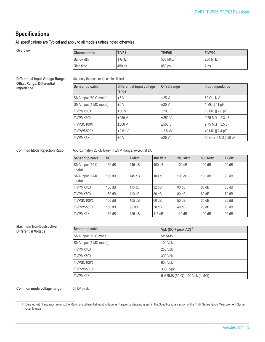### **Specifications**

All specifications are Typical and apply to all models unless noted otherwise.

| <b>Overview</b> | <b>Characteristic</b> | TIVP <sub>1</sub> | TIVP05  | TIVP02  |
|-----------------|-----------------------|-------------------|---------|---------|
|                 | Bandwidth             | GHz               | 500 MHz | 200 MHz |
|                 | Rise time             | 450 ps            | 850 ps  | 2 ns    |

**Differential Input Voltage Range, Offset Range, Differential Impedance**

Use only the sensor tip cables listed.

| Sensor tip cable             | Differential input voltage<br>range | <b>Offset range</b> | Input impedance           |
|------------------------------|-------------------------------------|---------------------|---------------------------|
| SMA Input (50 $\Omega$ mode) | ±5V                                 | ±25V                | $50 \Omega$    N.A.       |
| SMA Input (1 $M\Omega$ mode) | ±5V                                 | ±25V                | $1 M\Omega    11 pF$      |
| TIVPMX10X                    | ±50V                                | ±200V               | 10 M $\Omega$    2.8 pF   |
| TIVPMX50X                    | $\pm 250$ V                         | ±250V               | 9.75 $M\Omega$    2.3 pF  |
| TIVPSQ100X                   | ±500V                               | $±500$ V            | 9.75 M $\Omega$    3.5 pF |
| TIVPWS500X                   | $\pm 2.5$ kV                        | $±2.5$ kV           | 40 MΩ    2.4 pF           |
| <b>TIVPMX1X</b>              | ±5V                                 | ±25V                | 50 Ω or 1 MΩ    28 pF     |

**Common Mode Rejection Ratio** Approximately 20 dB lower in ±5 V Range, except at DC.

| Sensor tip cable                | DC     | 1 MHz  | <b>100 MHz</b> | <b>200 MHz</b> | 500 MHz | 1 GHz |
|---------------------------------|--------|--------|----------------|----------------|---------|-------|
| SMA Input (50 $\Omega$<br>mode) | 160 dB | 145 dB | 100dB          | 100dB          | 100 dB  | 90 dB |
| SMA Input (1 $M\Omega$<br>mode) | 160 dB | 145 dB | 100 dB         | 100dB          | 100 dB  | 90 dB |
| TIVPMX10X                       | 160 dB | 115dB  | 92 dB          | 90 dB          | 85dB    | 80 dB |
| TIVPMX50X                       | 160 dB | 110 dB | 80dB           | 80 dB          | 80 dB   | 70 dB |
| TIVPSQ100X                      | 160 dB | 105dB  | 60 dB          | 50dB           | 35dB    | 25dB  |
| TIVPWS500X                      | 160 dB | 90 dB  | 50dB           | 40 dB          | 20dB    | 10dB  |
| TIVPMX1X                        | 160 dB | 125 dB | 115dB          | 110dB          | 100dB   | 90 dB |

#### **Maximum Non-Destructive**  $Differential Voltage$

| Sensor tip cable             | Vpk (DC + peak AC) <sup>1</sup>                 |
|------------------------------|-------------------------------------------------|
| SMA Input (50 $\Omega$ mode) | 5V RMS                                          |
| SMA Input (1 $M\Omega$ mode) | 100 Vpk                                         |
| TIVPMX10X                    | 250 Vpk                                         |
| TIVPMX50X                    | 300 Vpk                                         |
| TIVPSQ100X                   | 600 Vpk                                         |
| TIVPWS500X                   | 3300 Vpk                                        |
| <b>ITIVPMX1X</b>             | 5 V RMS (50 $\Omega$ ), 100 Vpk (1 M $\Omega$ ) |

#### **Common mode voltage range** 60 kV peak

<sup>1</sup> Derated with frequency; refer to the Maximum differential input voltage vs. frequency derating graph in the Specifications section of the TIVP Series IsoVu Measurement System User Manual.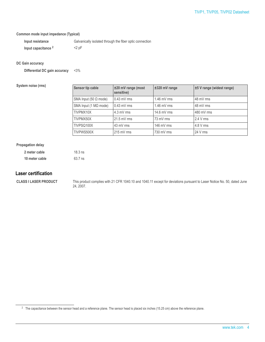#### **Common mode input impedance (Typical)**

| Input resistance               | Galvanically isolated through the fiber optic connection |
|--------------------------------|----------------------------------------------------------|
| Input capacitance <sup>2</sup> | $<$ 2 pF                                                 |

#### **DC Gain accuracy**

**Differential DC gain accuracy** <3%

**System noise (rms)** 

| Sensor tip cable             | ±20 mV range (most<br>sensitive) | $±320$ mV range | ±5 V range (widest range) |
|------------------------------|----------------------------------|-----------------|---------------------------|
| SMA Input (50 $\Omega$ mode) | $0.43$ mV rms                    | $1.46$ mV rms   | 48 mV rms                 |
| SMA Input (1 $M\Omega$ mode) | $0.43$ mV rms                    | $1.46$ mV rms   | 48 mV rms                 |
| TIVPMX10X                    | $4.3$ mV rms                     | 14.6 mV rms     | 480 mV rms                |
| TIVPMX50X                    | $21.5$ mV rms                    | 73 mV rms       | $2.4 V$ rms               |
| TIVPSQ100X                   | 43 mV rms                        | 146 $mV$ rms    | $4.8 V$ rms               |
| TIVPWS500X                   | 215 mV rms                       | 730 mV rms      | 24 V rms                  |

#### **Propagation delay**

| 2 meter cable  | $18.3$ ns |
|----------------|-----------|
| 10 meter cable | 63.7 ns   |

#### **Laser certification**

**CLASS I LASER PRODUCT** This product complies with 21 CFR 1040.10 and 1040.11 except for deviations pursuant to Laser Notice No. 50, dated June 24, 2007.

<sup>&</sup>lt;sup>2</sup> The capacitance between the sensor head and a reference plane. The sensor head is placed six inches (15.25 cm) above the reference plane.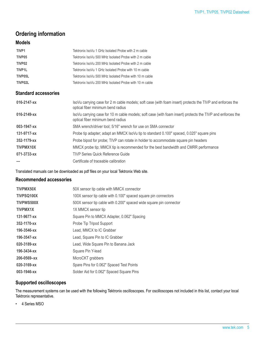## **Ordering information**

#### **Models**

| TIVP <sub>1</sub>           | Tektronix IsoVu 1 GHz Isolated Probe with 2 m cable                                                                                             |
|-----------------------------|-------------------------------------------------------------------------------------------------------------------------------------------------|
| TIVP05                      | Tektronix IsoVu 500 MHz Isolated Probe with 2 m cable                                                                                           |
| TIVP02                      | Tektronix IsoVu 200 MHz Isolated Probe with 2 m cable                                                                                           |
| TIVP1L                      | Tektronix IsoVu 1 GHz Isolated Probe with 10 m cable                                                                                            |
| TIVP05L                     | Tektronix IsoVu 500 MHz Isolated Probe with 10 m cable                                                                                          |
| TIVP02L                     | Tektronix IsoVu 200 MHz Isolated Probe with 10 m cable                                                                                          |
| <b>Standard accessories</b> |                                                                                                                                                 |
| 016-2147-xx                 | IsoVu carrying case for 2 m cable models; soft case (with foam insert) protects the TIVP and enforces the<br>optical fiber minimum bend radius  |
| 016-2149-xx                 | IsoVu carrying case for 10 m cable models; soft case (with foam insert) protects the TIVP and enforces the<br>optical fiber minimum bend radius |
| 003-1947-xx                 | SMA wrench/driver tool; 5/16" wrench for use on SMA connector                                                                                   |
| 131-9717-xx                 | Probe tip adapter; adapt an MMCX IsoVu tip to standard 0.100" spaced, 0.025" square pins                                                        |
| 352-1179-xx                 | Probe bipod for probe; TIVP can rotate in holder to accommodate square pin headers                                                              |
| TIVPMX10X                   | MMCX probe tip; MMCX tip is recommended for the best bandwidth and CMRR performance                                                             |
| 071-3733-xx                 | TIVP Series Quick Reference Guide                                                                                                               |
|                             | Certificate of traceable calibration                                                                                                            |

Translated manuals can be downloaded as pdf files on your local Tektronix Web site.

#### **Recommended accessories**

| TIVPMX50X         | 50X sensor tip cable with MMCX connector                           |
|-------------------|--------------------------------------------------------------------|
| TIVPSQ100X        | 100X sensor tip cable with 0.100" spaced square pin connectors     |
| <b>TIVPWS500X</b> | 500X sensor tip cable with 0.200" spaced wide square pin connector |
| <b>TIVPMX1X</b>   | 1X MMCX sensor tip                                                 |
| 131-9677-xx       | Square Pin to MMCX Adapter, 0.062" Spacing                         |
| 352-1170-xx       | Probe Tip Tripod Support                                           |
| 196-3546-xx       | Lead, MMCX to IC Grabber                                           |
| 196-3547-xx       | Lead, Square Pin to IC Grabber                                     |
| 020-3189-xx       | Lead, Wide Square Pin to Banana Jack                               |
| 196-3434-xx       | Square Pin Y-lead                                                  |
| $206 - 0569 - xx$ | MicroCKT grabbers                                                  |
| 020-3169-xx       | Spare Pins for 0.062" Spaced Test Points                           |
| 003-1946-xx       | Solder Aid for 0.062" Spaced Square Pins                           |

#### **Supported oscilloscopes**

The measurement systems can be used with the following Tektronix oscilloscopes. For oscilloscopes not included in this list, contact your local Tektronix representative.

• 4 Series MSO